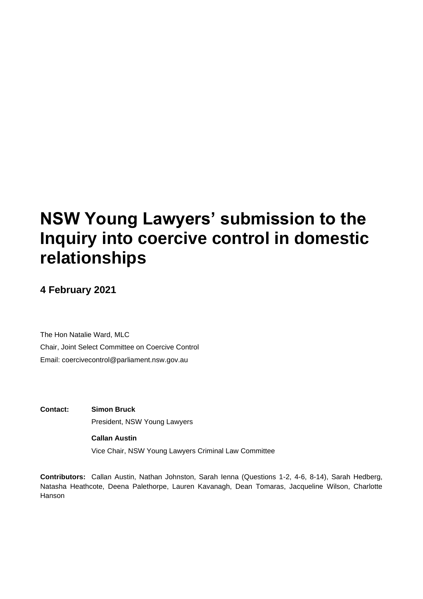# **NSW Young Lawyers' submission to the Inquiry into coercive control in domestic relationships**

## **4 February 2021**

The Hon Natalie Ward, MLC Chair, Joint Select Committee on Coercive Control Email: coercivecontrol@parliament.nsw.gov.au

**Contact: Simon Bruck** President, NSW Young Lawyers

**Callan Austin**

Vice Chair, NSW Young Lawyers Criminal Law Committee

**Contributors:** Callan Austin, Nathan Johnston, Sarah Ienna (Questions 1-2, 4-6, 8-14), Sarah Hedberg, Natasha Heathcote, Deena Palethorpe, Lauren Kavanagh, Dean Tomaras, Jacqueline Wilson, Charlotte Hanson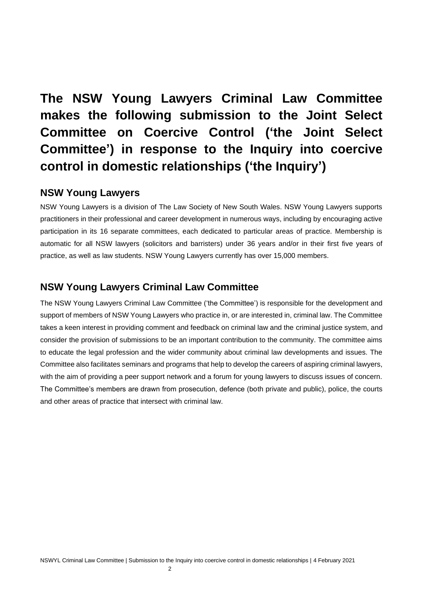## **The NSW Young Lawyers Criminal Law Committee makes the following submission to the Joint Select Committee on Coercive Control ('the Joint Select Committee') in response to the Inquiry into coercive control in domestic relationships ('the Inquiry')**

## **NSW Young Lawyers**

NSW Young Lawyers is a division of The Law Society of New South Wales. NSW Young Lawyers supports practitioners in their professional and career development in numerous ways, including by encouraging active participation in its 16 separate committees, each dedicated to particular areas of practice. Membership is automatic for all NSW lawyers (solicitors and barristers) under 36 years and/or in their first five years of practice, as well as law students. NSW Young Lawyers currently has over 15,000 members.

## **NSW Young Lawyers Criminal Law Committee**

The NSW Young Lawyers Criminal Law Committee ('the Committee') is responsible for the development and support of members of NSW Young Lawyers who practice in, or are interested in, criminal law. The Committee takes a keen interest in providing comment and feedback on criminal law and the criminal justice system, and consider the provision of submissions to be an important contribution to the community. The committee aims to educate the legal profession and the wider community about criminal law developments and issues. The Committee also facilitates seminars and programs that help to develop the careers of aspiring criminal lawyers, with the aim of providing a peer support network and a forum for young lawyers to discuss issues of concern. The Committee's members are drawn from prosecution, defence (both private and public), police, the courts and other areas of practice that intersect with criminal law.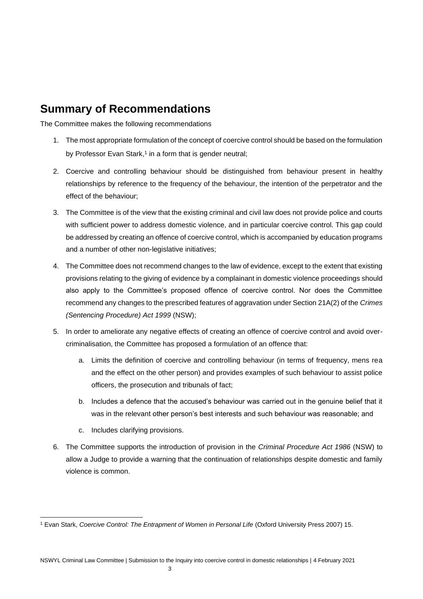## **Summary of Recommendations**

The Committee makes the following recommendations

- 1. The most appropriate formulation of the concept of coercive control should be based on the formulation by Professor Evan Stark, 1 in a form that is gender neutral;
- 2. Coercive and controlling behaviour should be distinguished from behaviour present in healthy relationships by reference to the frequency of the behaviour, the intention of the perpetrator and the effect of the behaviour;
- 3. The Committee is of the view that the existing criminal and civil law does not provide police and courts with sufficient power to address domestic violence, and in particular coercive control. This gap could be addressed by creating an offence of coercive control, which is accompanied by education programs and a number of other non-legislative initiatives;
- 4. The Committee does not recommend changes to the law of evidence, except to the extent that existing provisions relating to the giving of evidence by a complainant in domestic violence proceedings should also apply to the Committee's proposed offence of coercive control. Nor does the Committee recommend any changes to the prescribed features of aggravation under Section 21A(2) of the *Crimes (Sentencing Procedure) Act 1999* (NSW);
- 5. In order to ameliorate any negative effects of creating an offence of coercive control and avoid overcriminalisation, the Committee has proposed a formulation of an offence that:
	- a. Limits the definition of coercive and controlling behaviour (in terms of frequency, mens rea and the effect on the other person) and provides examples of such behaviour to assist police officers, the prosecution and tribunals of fact;
	- b. Includes a defence that the accused's behaviour was carried out in the genuine belief that it was in the relevant other person's best interests and such behaviour was reasonable; and
	- c. Includes clarifying provisions.
- 6. The Committee supports the introduction of provision in the *Criminal Procedure Act 1986* (NSW) to allow a Judge to provide a warning that the continuation of relationships despite domestic and family violence is common.

<sup>&</sup>lt;sup>1</sup> Evan Stark, *Coercive Control: The Entrapment of Women in Personal Life (Oxford University Press 2007) 15.*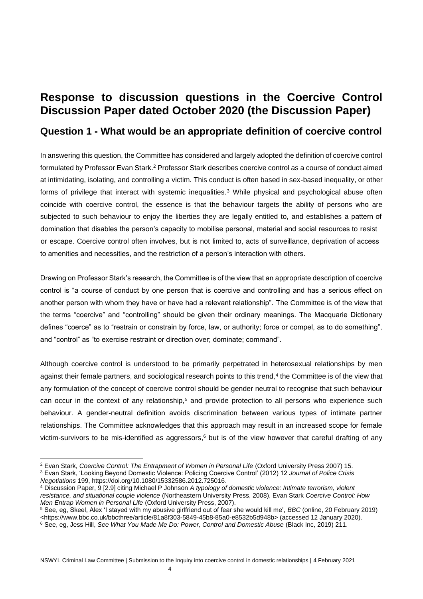## **Response to discussion questions in the Coercive Control Discussion Paper dated October 2020 (the Discussion Paper)**

### **Question 1 - What would be an appropriate definition of coercive control**

In answering this question, the Committee has considered and largely adopted the definition of coercive control formulated by Professor Evan Stark.<sup>2</sup> Professor Stark describes coercive control as a course of conduct aimed at intimidating, isolating, and controlling a victim. This conduct is often based in sex-based inequality, or other forms of privilege that interact with systemic inequalities.<sup>3</sup> While physical and psychological abuse often coincide with coercive control, the essence is that the behaviour targets the ability of persons who are subjected to such behaviour to enjoy the liberties they are legally entitled to, and establishes a pattern of domination that disables the person's capacity to mobilise personal, material and social resources to resist or escape. Coercive control often involves, but is not limited to, acts of surveillance, deprivation of access to amenities and necessities, and the restriction of a person's interaction with others.

Drawing on Professor Stark's research, the Committee is of the view that an appropriate description of coercive control is "a course of conduct by one person that is coercive and controlling and has a serious effect on another person with whom they have or have had a relevant relationship". The Committee is of the view that the terms "coercive" and "controlling" should be given their ordinary meanings. The Macquarie Dictionary defines "coerce" as to "restrain or constrain by force, law, or authority; force or compel, as to do something", and "control" as "to exercise restraint or direction over; dominate; command".

Although coercive control is understood to be primarily perpetrated in heterosexual relationships by men against their female partners, and sociological research points to this trend,<sup>4</sup> the Committee is of the view that any formulation of the concept of coercive control should be gender neutral to recognise that such behaviour can occur in the context of any relationship,<sup>5</sup> and provide protection to all persons who experience such behaviour. A gender-neutral definition avoids discrimination between various types of intimate partner relationships. The Committee acknowledges that this approach may result in an increased scope for female victim-survivors to be mis-identified as aggressors, $6$  but is of the view however that careful drafting of any

<sup>5</sup> See, eg, Skeel, Alex 'I stayed with my abusive girlfriend out of fear she would kill me', *BBC* (online, 20 February 2019) <https://www.bbc.co.uk/bbcthree/article/81a8f303-5849-45b8-85a0-e8532b5d948b> (accessed 12 January 2020).

<sup>2</sup> Evan Stark, *Coercive Control: The Entrapment of Women in Personal Life* (Oxford University Press 2007) 15.

<sup>3</sup> Evan Stark, 'Looking Beyond Domestic Violence: Policing Coercive Control' (2012) 12 *Journal of Police Crisis Negotiations* 199, https://doi.org/10.1080/15332586.2012.725016.

<sup>4</sup> Discussion Paper, 9 [2.9] citing Michael P Johnson *A typology of domestic violence: Intimate terrorism, violent resistance, and situational couple violence* (Northeastern University Press, 2008), Evan Stark *Coercive Control: How Men Entrap Women in Personal Life* (Oxford University Press, 2007).

<sup>&</sup>lt;sup>6</sup> See, eg, Jess Hill, *See What You Made Me Do: Power, Control and Domestic Abuse* (Black Inc, 2019) 211.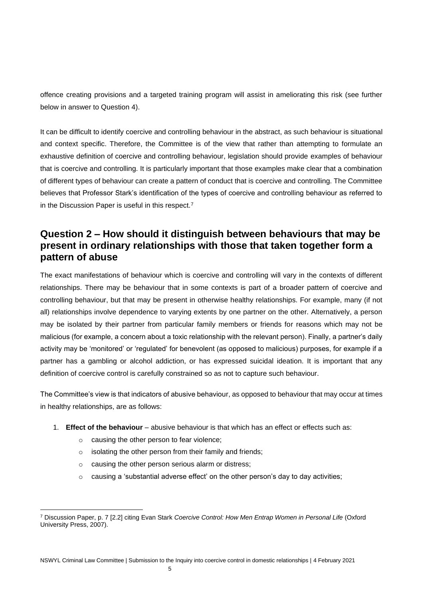offence creating provisions and a targeted training program will assist in ameliorating this risk (see further below in answer to Question 4).

It can be difficult to identify coercive and controlling behaviour in the abstract, as such behaviour is situational and context specific. Therefore, the Committee is of the view that rather than attempting to formulate an exhaustive definition of coercive and controlling behaviour, legislation should provide examples of behaviour that is coercive and controlling. It is particularly important that those examples make clear that a combination of different types of behaviour can create a pattern of conduct that is coercive and controlling. The Committee believes that Professor Stark's identification of the types of coercive and controlling behaviour as referred to in the Discussion Paper is useful in this respect.<sup>7</sup>

## **Question 2 – How should it distinguish between behaviours that may be present in ordinary relationships with those that taken together form a pattern of abuse**

The exact manifestations of behaviour which is coercive and controlling will vary in the contexts of different relationships. There may be behaviour that in some contexts is part of a broader pattern of coercive and controlling behaviour, but that may be present in otherwise healthy relationships. For example, many (if not all) relationships involve dependence to varying extents by one partner on the other. Alternatively, a person may be isolated by their partner from particular family members or friends for reasons which may not be malicious (for example, a concern about a toxic relationship with the relevant person). Finally, a partner's daily activity may be 'monitored' or 'regulated' for benevolent (as opposed to malicious) purposes, for example if a partner has a gambling or alcohol addiction, or has expressed suicidal ideation. It is important that any definition of coercive control is carefully constrained so as not to capture such behaviour.

The Committee's view is that indicators of abusive behaviour, as opposed to behaviour that may occur at times in healthy relationships, are as follows:

- 1. **Effect of the behaviour** abusive behaviour is that which has an effect or effects such as:
	- o causing the other person to fear violence;
	- o isolating the other person from their family and friends;
	- o causing the other person serious alarm or distress;
	- $\circ$  causing a 'substantial adverse effect' on the other person's day to day activities;

<sup>7</sup> Discussion Paper, p. 7 [2.2] citing Evan Stark *Coercive Control: How Men Entrap Women in Personal Life* (Oxford University Press, 2007).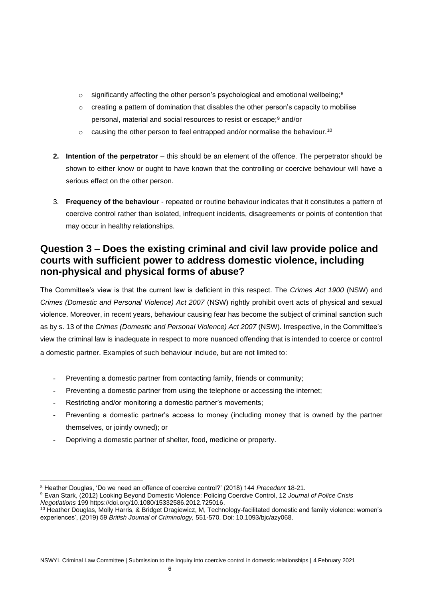- $\circ$  significantly affecting the other person's psychological and emotional wellbeing;<sup>8</sup>
- $\circ$  creating a pattern of domination that disables the other person's capacity to mobilise personal, material and social resources to resist or escape;<sup>9</sup> and/or
- $\circ$  causing the other person to feel entrapped and/or normalise the behaviour.<sup>10</sup>
- **2. Intention of the perpetrator** this should be an element of the offence. The perpetrator should be shown to either know or ought to have known that the controlling or coercive behaviour will have a serious effect on the other person.
- 3. **Frequency of the behaviour** repeated or routine behaviour indicates that it constitutes a pattern of coercive control rather than isolated, infrequent incidents, disagreements or points of contention that may occur in healthy relationships.

## **Question 3 – Does the existing criminal and civil law provide police and courts with sufficient power to address domestic violence, including non-physical and physical forms of abuse?**

The Committee's view is that the current law is deficient in this respect. The *Crimes Act 1900* (NSW) and *Crimes (Domestic and Personal Violence) Act 2007* (NSW) rightly prohibit overt acts of physical and sexual violence. Moreover, in recent years, behaviour causing fear has become the subject of criminal sanction such as by s. 13 of the *Crimes (Domestic and Personal Violence) Act 2007* (NSW)*.* Irrespective, in the Committee's view the criminal law is inadequate in respect to more nuanced offending that is intended to coerce or control a domestic partner. Examples of such behaviour include, but are not limited to:

- Preventing a domestic partner from contacting family, friends or community;
- Preventing a domestic partner from using the telephone or accessing the internet;
- Restricting and/or monitoring a domestic partner's movements;
- Preventing a domestic partner's access to money (including money that is owned by the partner themselves, or jointly owned); or
- Depriving a domestic partner of shelter, food, medicine or property.

<sup>8</sup> Heather Douglas, 'Do we need an offence of coercive control?' (2018) 144 *Precedent* 18-21.

<sup>9</sup> Evan Stark, (2012) Looking Beyond Domestic Violence: Policing Coercive Control, 12 *Journal of Police Crisis Negotiations* 199 https://doi.org/10.1080/15332586.2012.725016.

<sup>10</sup> Heather Douglas, Molly Harris, & Bridget Dragiewicz, M, Technology-facilitated domestic and family violence: women's experiences', (2019) 59 *British Journal of Criminology,* 551-570. Doi: 10.1093/bjc/azy068.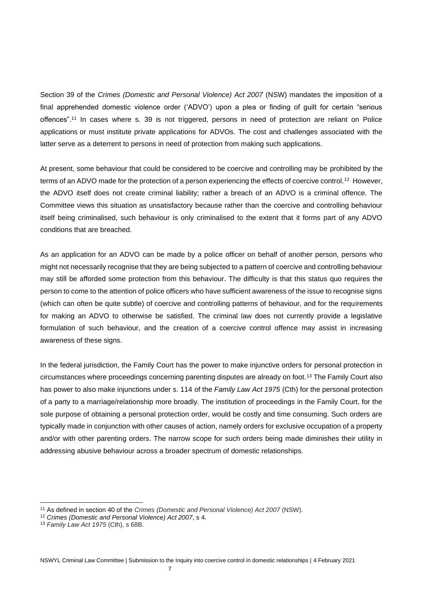Section 39 of the *Crimes (Domestic and Personal Violence) Act 2007* (NSW) mandates the imposition of a final apprehended domestic violence order ('ADVO') upon a plea or finding of guilt for certain "serious offences".<sup>11</sup> In cases where s. 39 is not triggered, persons in need of protection are reliant on Police applications or must institute private applications for ADVOs. The cost and challenges associated with the latter serve as a deterrent to persons in need of protection from making such applications.

At present, some behaviour that could be considered to be coercive and controlling may be prohibited by the terms of an ADVO made for the protection of a person experiencing the effects of coercive control.<sup>12</sup> However, the ADVO itself does not create criminal liability; rather a breach of an ADVO is a criminal offence. The Committee views this situation as unsatisfactory because rather than the coercive and controlling behaviour itself being criminalised, such behaviour is only criminalised to the extent that it forms part of any ADVO conditions that are breached.

As an application for an ADVO can be made by a police officer on behalf of another person, persons who might not necessarily recognise that they are being subjected to a pattern of coercive and controlling behaviour may still be afforded some protection from this behaviour. The difficulty is that this status quo requires the person to come to the attention of police officers who have sufficient awareness of the issue to recognise signs (which can often be quite subtle) of coercive and controlling patterns of behaviour, and for the requirements for making an ADVO to otherwise be satisfied. The criminal law does not currently provide a legislative formulation of such behaviour, and the creation of a coercive control offence may assist in increasing awareness of these signs.

In the federal jurisdiction, the Family Court has the power to make injunctive orders for personal protection in circumstances where proceedings concerning parenting disputes are already on foot.<sup>13</sup> The Family Court also has power to also make injunctions under s. 114 of the *Family Law Act 1975* (Cth) for the personal protection of a party to a marriage/relationship more broadly. The institution of proceedings in the Family Court, for the sole purpose of obtaining a personal protection order, would be costly and time consuming. Such orders are typically made in conjunction with other causes of action, namely orders for exclusive occupation of a property and/or with other parenting orders. The narrow scope for such orders being made diminishes their utility in addressing abusive behaviour across a broader spectrum of domestic relationships.

<sup>11</sup> As defined in section 40 of the *Crimes (Domestic and Personal Violence) Act 2007* (NSW).

<sup>12</sup> *Crimes (Domestic and Personal Violence) Act 2007*, s 4.

<sup>13</sup> *Family Law Act 1975* (Cth), s 68B.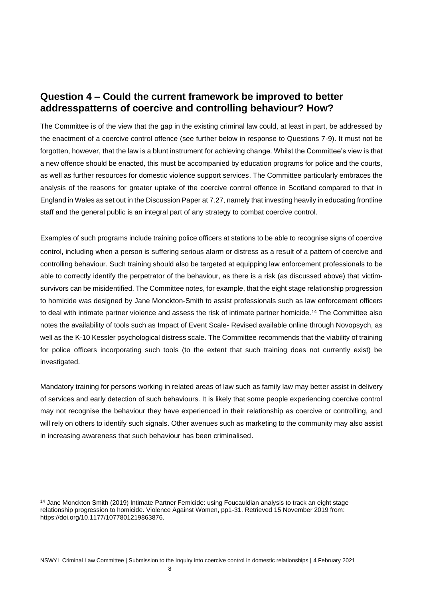### **Question 4 – Could the current framework be improved to better addresspatterns of coercive and controlling behaviour? How?**

The Committee is of the view that the gap in the existing criminal law could, at least in part, be addressed by the enactment of a coercive control offence (see further below in response to Questions 7-9). It must not be forgotten, however, that the law is a blunt instrument for achieving change. Whilst the Committee's view is that a new offence should be enacted, this must be accompanied by education programs for police and the courts, as well as further resources for domestic violence support services. The Committee particularly embraces the analysis of the reasons for greater uptake of the coercive control offence in Scotland compared to that in England in Wales as set out in the Discussion Paper at 7.27, namely that investing heavily in educating frontline staff and the general public is an integral part of any strategy to combat coercive control.

Examples of such programs include training police officers at stations to be able to recognise signs of coercive control, including when a person is suffering serious alarm or distress as a result of a pattern of coercive and controlling behaviour. Such training should also be targeted at equipping law enforcement professionals to be able to correctly identify the perpetrator of the behaviour, as there is a risk (as discussed above) that victimsurvivors can be misidentified. The Committee notes, for example, that the eight stage relationship progression to homicide was designed by Jane Monckton-Smith to assist professionals such as law enforcement officers to deal with intimate partner violence and assess the risk of intimate partner homicide.<sup>14</sup> The Committee also notes the availability of tools such as Impact of Event Scale- Revised available online through Novopsych, as well as the K-10 Kessler psychological distress scale. The Committee recommends that the viability of training for police officers incorporating such tools (to the extent that such training does not currently exist) be investigated.

Mandatory training for persons working in related areas of law such as family law may better assist in delivery of services and early detection of such behaviours. It is likely that some people experiencing coercive control may not recognise the behaviour they have experienced in their relationship as coercive or controlling, and will rely on others to identify such signals. Other avenues such as marketing to the community may also assist in increasing awareness that such behaviour has been criminalised.

<sup>14</sup> Jane Monckton Smith (2019) Intimate Partner Femicide: using Foucauldian analysis to track an eight stage relationship progression to homicide. Violence Against Women, pp1-31. Retrieved 15 November 2019 from: https://doi.org/10.1177/1077801219863876.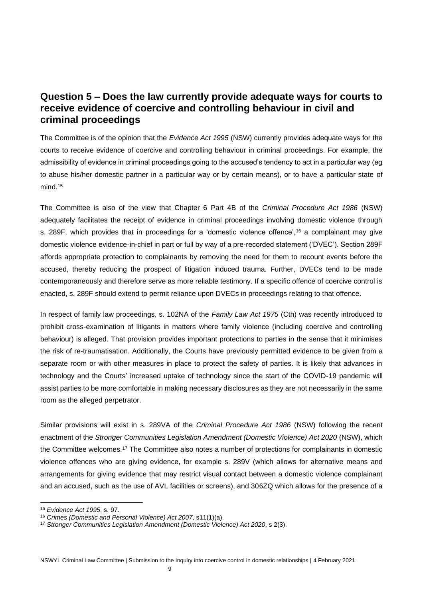## **Question 5 – Does the law currently provide adequate ways for courts to receive evidence of coercive and controlling behaviour in civil and criminal proceedings**

The Committee is of the opinion that the *Evidence Act 1995* (NSW) currently provides adequate ways for the courts to receive evidence of coercive and controlling behaviour in criminal proceedings. For example, the admissibility of evidence in criminal proceedings going to the accused's tendency to act in a particular way (eg to abuse his/her domestic partner in a particular way or by certain means), or to have a particular state of mind.<sup>15</sup>

The Committee is also of the view that Chapter 6 Part 4B of the *Criminal Procedure Act 1986* (NSW) adequately facilitates the receipt of evidence in criminal proceedings involving domestic violence through s. 289F, which provides that in proceedings for a 'domestic violence offence',<sup>16</sup> a complainant may give domestic violence evidence-in-chief in part or full by way of a pre-recorded statement ('DVEC'). Section 289F affords appropriate protection to complainants by removing the need for them to recount events before the accused, thereby reducing the prospect of litigation induced trauma. Further, DVECs tend to be made contemporaneously and therefore serve as more reliable testimony. If a specific offence of coercive control is enacted, s. 289F should extend to permit reliance upon DVECs in proceedings relating to that offence.

In respect of family law proceedings, s. 102NA of the *Family Law Act 1975* (Cth) was recently introduced to prohibit cross-examination of litigants in matters where family violence (including coercive and controlling behaviour) is alleged. That provision provides important protections to parties in the sense that it minimises the risk of re-traumatisation. Additionally, the Courts have previously permitted evidence to be given from a separate room or with other measures in place to protect the safety of parties. It is likely that advances in technology and the Courts' increased uptake of technology since the start of the COVID-19 pandemic will assist parties to be more comfortable in making necessary disclosures as they are not necessarily in the same room as the alleged perpetrator.

Similar provisions will exist in s. 289VA of the *Criminal Procedure Act 1986* (NSW) following the recent enactment of the *Stronger Communities Legislation Amendment (Domestic Violence) Act 2020* (NSW), which the Committee welcomes.<sup>17</sup> The Committee also notes a number of protections for complainants in domestic violence offences who are giving evidence, for example s. 289V (which allows for alternative means and arrangements for giving evidence that may restrict visual contact between a domestic violence complainant and an accused, such as the use of AVL facilities or screens), and 306ZQ which allows for the presence of a

<sup>15</sup> *Evidence Act 1995*, s. 97.

<sup>16</sup> *Crimes (Domestic and Personal Violence) Act 2007*, s11(1)(a).

<sup>17</sup> *Stronger Communities Legislation Amendment (Domestic Violence) Act 2020*, s 2(3).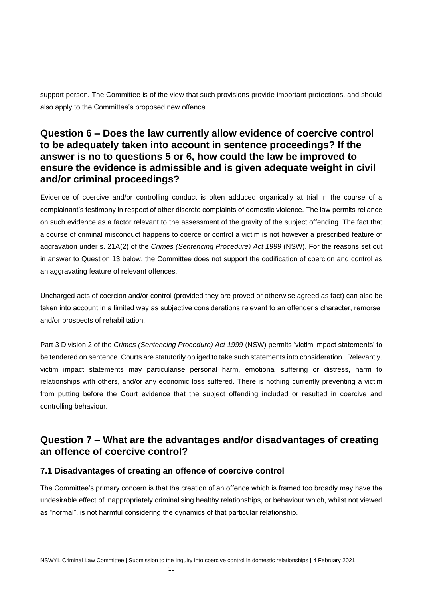support person. The Committee is of the view that such provisions provide important protections, and should also apply to the Committee's proposed new offence.

## **Question 6 – Does the law currently allow evidence of coercive control to be adequately taken into account in sentence proceedings? If the answer is no to questions 5 or 6, how could the law be improved to ensure the evidence is admissible and is given adequate weight in civil and/or criminal proceedings?**

Evidence of coercive and/or controlling conduct is often adduced organically at trial in the course of a complainant's testimony in respect of other discrete complaints of domestic violence. The law permits reliance on such evidence as a factor relevant to the assessment of the gravity of the subject offending. The fact that a course of criminal misconduct happens to coerce or control a victim is not however a prescribed feature of aggravation under s. 21A(2) of the *Crimes (Sentencing Procedure) Act 1999* (NSW). For the reasons set out in answer to Question 13 below, the Committee does not support the codification of coercion and control as an aggravating feature of relevant offences.

Uncharged acts of coercion and/or control (provided they are proved or otherwise agreed as fact) can also be taken into account in a limited way as subjective considerations relevant to an offender's character, remorse, and/or prospects of rehabilitation.

Part 3 Division 2 of the *Crimes (Sentencing Procedure) Act 1999* (NSW) permits 'victim impact statements' to be tendered on sentence. Courts are statutorily obliged to take such statements into consideration. Relevantly, victim impact statements may particularise personal harm, emotional suffering or distress, harm to relationships with others, and/or any economic loss suffered. There is nothing currently preventing a victim from putting before the Court evidence that the subject offending included or resulted in coercive and controlling behaviour.

### **Question 7 – What are the advantages and/or disadvantages of creating an offence of coercive control?**

#### **7.1 Disadvantages of creating an offence of coercive control**

The Committee's primary concern is that the creation of an offence which is framed too broadly may have the undesirable effect of inappropriately criminalising healthy relationships, or behaviour which, whilst not viewed as "normal", is not harmful considering the dynamics of that particular relationship.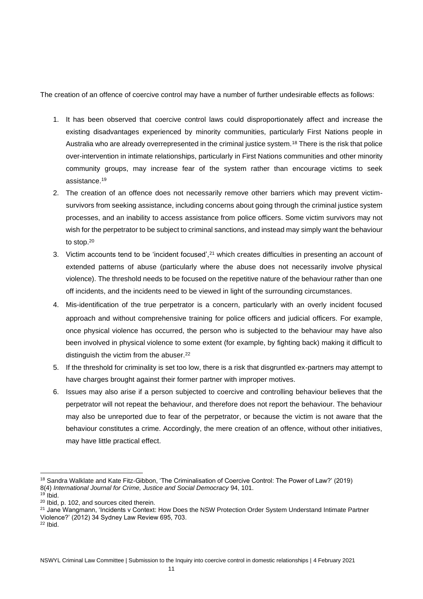The creation of an offence of coercive control may have a number of further undesirable effects as follows:

- 1. It has been observed that coercive control laws could disproportionately affect and increase the existing disadvantages experienced by minority communities, particularly First Nations people in Australia who are already overrepresented in the criminal justice system.<sup>18</sup> There is the risk that police over-intervention in intimate relationships, particularly in First Nations communities and other minority community groups, may increase fear of the system rather than encourage victims to seek assistance.<sup>19</sup>
- 2. The creation of an offence does not necessarily remove other barriers which may prevent victimsurvivors from seeking assistance, including concerns about going through the criminal justice system processes, and an inability to access assistance from police officers. Some victim survivors may not wish for the perpetrator to be subject to criminal sanctions, and instead may simply want the behaviour to stop.<sup>20</sup>
- 3. Victim accounts tend to be 'incident focused',<sup>21</sup> which creates difficulties in presenting an account of extended patterns of abuse (particularly where the abuse does not necessarily involve physical violence). The threshold needs to be focused on the repetitive nature of the behaviour rather than one off incidents, and the incidents need to be viewed in light of the surrounding circumstances.
- 4. Mis-identification of the true perpetrator is a concern, particularly with an overly incident focused approach and without comprehensive training for police officers and judicial officers. For example, once physical violence has occurred, the person who is subjected to the behaviour may have also been involved in physical violence to some extent (for example, by fighting back) making it difficult to distinguish the victim from the abuser.<sup>22</sup>
- 5. If the threshold for criminality is set too low, there is a risk that disgruntled ex-partners may attempt to have charges brought against their former partner with improper motives.
- 6. Issues may also arise if a person subjected to coercive and controlling behaviour believes that the perpetrator will not repeat the behaviour, and therefore does not report the behaviour. The behaviour may also be unreported due to fear of the perpetrator, or because the victim is not aware that the behaviour constitutes a crime. Accordingly, the mere creation of an offence, without other initiatives, may have little practical effect.

<sup>18</sup> Sandra Walklate and Kate Fitz-Gibbon, 'The Criminalisation of Coercive Control: The Power of Law?' (2019) 8(4) *International Journal for Crime, Justice and Social Democracy* 94, 101.

 $19$  Ibid.

<sup>20</sup> Ibid, p. 102, and sources cited therein.

<sup>&</sup>lt;sup>21</sup> Jane Wangmann, 'Incidents v Context: How Does the NSW Protection Order System Understand Intimate Partner Violence?' (2012) 34 Sydney Law Review 695, 703.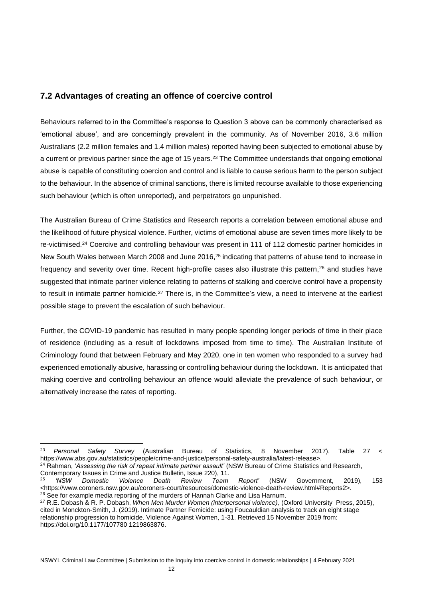#### **7.2 Advantages of creating an offence of coercive control**

Behaviours referred to in the Committee's response to Question 3 above can be commonly characterised as 'emotional abuse', and are concerningly prevalent in the community. As of November 2016, 3.6 million Australians (2.2 million females and 1.4 million males) reported having been subjected to emotional abuse by a current or previous partner since the age of 15 years.<sup>23</sup> The Committee understands that ongoing emotional abuse is capable of constituting coercion and control and is liable to cause serious harm to the person subject to the behaviour. In the absence of criminal sanctions, there is limited recourse available to those experiencing such behaviour (which is often unreported), and perpetrators go unpunished.

The Australian Bureau of Crime Statistics and Research reports a correlation between emotional abuse and the likelihood of future physical violence. Further, victims of emotional abuse are seven times more likely to be re-victimised.<sup>24</sup> Coercive and controlling behaviour was present in 111 of 112 domestic partner homicides in New South Wales between March 2008 and June 2016,<sup>25</sup> indicating that patterns of abuse tend to increase in frequency and severity over time. Recent high-profile cases also illustrate this pattern,<sup>26</sup> and studies have suggested that intimate partner violence relating to patterns of stalking and coercive control have a propensity to result in intimate partner homicide.<sup>27</sup> There is, in the Committee's view, a need to intervene at the earliest possible stage to prevent the escalation of such behaviour.

Further, the COVID-19 pandemic has resulted in many people spending longer periods of time in their place of residence (including as a result of lockdowns imposed from time to time). The Australian Institute of Criminology found that between February and May 2020, one in ten women who responded to a survey had experienced emotionally abusive, harassing or controlling behaviour during the lockdown. It is anticipated that making coercive and controlling behaviour an offence would alleviate the prevalence of such behaviour, or alternatively increase the rates of reporting.

<sup>23</sup> *Personal Safety Survey* (Australian Bureau of Statistics, 8 November 2017), Table 27 < https://www.abs.gov.au/statistics/people/crime-and-justice/personal-safety-australia/latest-release>. <sup>24</sup> Rahman, '*Assessing the risk of repeat intimate partner assault'* (NSW Bureau of Crime Statistics and Research,

Contemporary Issues in Crime and Justice Bulletin, Issue 220), 11.<br><sup>25</sup> *'NSW Domestic Violence Death Review Team* 

<sup>25</sup> *'NSW Domestic Violence Death Review Team Report'* (NSW Government, 2019), 153  $\n <$ https://www.coroners.nsw.gov.au/coroners-court/resources/domestic-violence-death-review.html#Reports2>. <sup>26</sup> See for example media reporting of the murders of Hannah Clarke and Lisa Harnum.

<sup>27</sup> R.E. Dobash & R. P. Dobash, *When Men Murder Women (interpersonal violence),* (Oxford University Press, 2015), cited in Monckton-Smith, J. (2019). Intimate Partner Femicide: using Foucauldian analysis to track an eight stage relationship progression to homicide. Violence Against Women, 1-31. Retrieved 15 November 2019 from: https://doi.org/10.1177/107780 1219863876.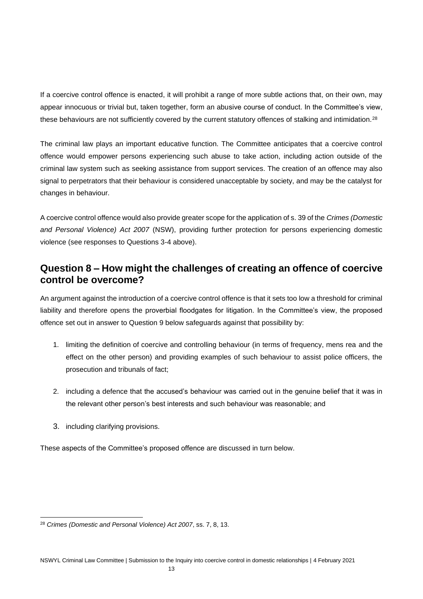If a coercive control offence is enacted, it will prohibit a range of more subtle actions that, on their own, may appear innocuous or trivial but, taken together, form an abusive course of conduct. In the Committee's view, these behaviours are not sufficiently covered by the current statutory offences of stalking and intimidation.<sup>28</sup>

The criminal law plays an important educative function. The Committee anticipates that a coercive control offence would empower persons experiencing such abuse to take action, including action outside of the criminal law system such as seeking assistance from support services. The creation of an offence may also signal to perpetrators that their behaviour is considered unacceptable by society, and may be the catalyst for changes in behaviour.

A coercive control offence would also provide greater scope for the application of s. 39 of the *Crimes (Domestic and Personal Violence) Act 2007* (NSW), providing further protection for persons experiencing domestic violence (see responses to Questions 3-4 above).

## **Question 8 – How might the challenges of creating an offence of coercive control be overcome?**

An argument against the introduction of a coercive control offence is that it sets too low a threshold for criminal liability and therefore opens the proverbial floodgates for litigation. In the Committee's view, the proposed offence set out in answer to Question 9 below safeguards against that possibility by:

- 1. limiting the definition of coercive and controlling behaviour (in terms of frequency, mens rea and the effect on the other person) and providing examples of such behaviour to assist police officers, the prosecution and tribunals of fact;
- 2. including a defence that the accused's behaviour was carried out in the genuine belief that it was in the relevant other person's best interests and such behaviour was reasonable; and
- 3. including clarifying provisions.

These aspects of the Committee's proposed offence are discussed in turn below.

<sup>28</sup> *Crimes (Domestic and Personal Violence) Act 2007*, ss. 7, 8, 13.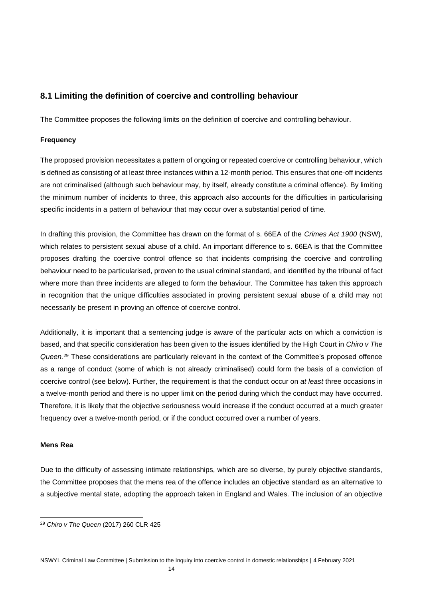#### **8.1 Limiting the definition of coercive and controlling behaviour**

The Committee proposes the following limits on the definition of coercive and controlling behaviour.

#### **Frequency**

The proposed provision necessitates a pattern of ongoing or repeated coercive or controlling behaviour, which is defined as consisting of at least three instances within a 12-month period. This ensures that one-off incidents are not criminalised (although such behaviour may, by itself, already constitute a criminal offence). By limiting the minimum number of incidents to three, this approach also accounts for the difficulties in particularising specific incidents in a pattern of behaviour that may occur over a substantial period of time.

In drafting this provision, the Committee has drawn on the format of s. 66EA of the *Crimes Act 1900* (NSW), which relates to persistent sexual abuse of a child. An important difference to s. 66EA is that the Committee proposes drafting the coercive control offence so that incidents comprising the coercive and controlling behaviour need to be particularised, proven to the usual criminal standard, and identified by the tribunal of fact where more than three incidents are alleged to form the behaviour. The Committee has taken this approach in recognition that the unique difficulties associated in proving persistent sexual abuse of a child may not necessarily be present in proving an offence of coercive control.

Additionally, it is important that a sentencing judge is aware of the particular acts on which a conviction is based, and that specific consideration has been given to the issues identified by the High Court in *Chiro v The Queen.*<sup>29</sup> These considerations are particularly relevant in the context of the Committee's proposed offence as a range of conduct (some of which is not already criminalised) could form the basis of a conviction of coercive control (see below). Further, the requirement is that the conduct occur on *at least* three occasions in a twelve-month period and there is no upper limit on the period during which the conduct may have occurred. Therefore, it is likely that the objective seriousness would increase if the conduct occurred at a much greater frequency over a twelve-month period, or if the conduct occurred over a number of years.

#### **Mens Rea**

Due to the difficulty of assessing intimate relationships, which are so diverse, by purely objective standards, the Committee proposes that the mens rea of the offence includes an objective standard as an alternative to a subjective mental state, adopting the approach taken in England and Wales. The inclusion of an objective

<sup>29</sup> *Chiro v The Queen* (2017) 260 CLR 425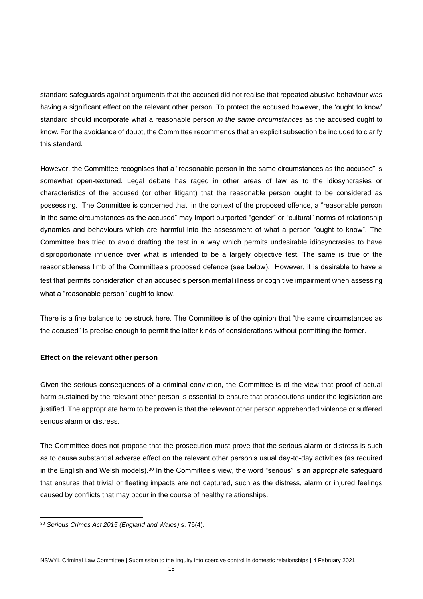standard safeguards against arguments that the accused did not realise that repeated abusive behaviour was having a significant effect on the relevant other person. To protect the accused however, the 'ought to know' standard should incorporate what a reasonable person *in the same circumstances* as the accused ought to know. For the avoidance of doubt, the Committee recommends that an explicit subsection be included to clarify this standard.

However, the Committee recognises that a "reasonable person in the same circumstances as the accused" is somewhat open-textured. Legal debate has raged in other areas of law as to the idiosyncrasies or characteristics of the accused (or other litigant) that the reasonable person ought to be considered as possessing. The Committee is concerned that, in the context of the proposed offence, a "reasonable person in the same circumstances as the accused" may import purported "gender" or "cultural" norms of relationship dynamics and behaviours which are harmful into the assessment of what a person "ought to know". The Committee has tried to avoid drafting the test in a way which permits undesirable idiosyncrasies to have disproportionate influence over what is intended to be a largely objective test. The same is true of the reasonableness limb of the Committee's proposed defence (see below). However, it is desirable to have a test that permits consideration of an accused's person mental illness or cognitive impairment when assessing what a "reasonable person" ought to know.

There is a fine balance to be struck here. The Committee is of the opinion that "the same circumstances as the accused" is precise enough to permit the latter kinds of considerations without permitting the former.

#### **Effect on the relevant other person**

Given the serious consequences of a criminal conviction, the Committee is of the view that proof of actual harm sustained by the relevant other person is essential to ensure that prosecutions under the legislation are justified. The appropriate harm to be proven is that the relevant other person apprehended violence or suffered serious alarm or distress.

The Committee does not propose that the prosecution must prove that the serious alarm or distress is such as to cause substantial adverse effect on the relevant other person's usual day-to-day activities (as required in the English and Welsh models).<sup>30</sup> In the Committee's view, the word "serious" is an appropriate safeguard that ensures that trivial or fleeting impacts are not captured, such as the distress, alarm or injured feelings caused by conflicts that may occur in the course of healthy relationships.

<sup>30</sup> *Serious Crimes Act 2015 (England and Wales)* s. 76(4).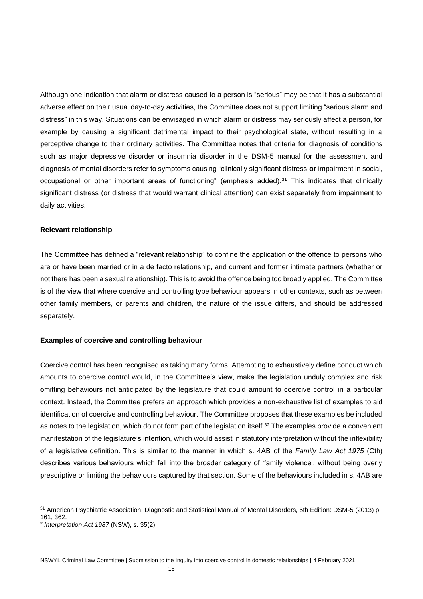Although one indication that alarm or distress caused to a person is "serious" may be that it has a substantial adverse effect on their usual day-to-day activities, the Committee does not support limiting "serious alarm and distress" in this way. Situations can be envisaged in which alarm or distress may seriously affect a person, for example by causing a significant detrimental impact to their psychological state, without resulting in a perceptive change to their ordinary activities. The Committee notes that criteria for diagnosis of conditions such as major depressive disorder or insomnia disorder in the DSM-5 manual for the assessment and diagnosis of mental disorders refer to symptoms causing "clinically significant distress **or** impairment in social, occupational or other important areas of functioning" (emphasis added).<sup>31</sup> This indicates that clinically significant distress (or distress that would warrant clinical attention) can exist separately from impairment to daily activities.

#### **Relevant relationship**

The Committee has defined a "relevant relationship" to confine the application of the offence to persons who are or have been married or in a de facto relationship, and current and former intimate partners (whether or not there has been a sexual relationship). This is to avoid the offence being too broadly applied. The Committee is of the view that where coercive and controlling type behaviour appears in other contexts, such as between other family members, or parents and children, the nature of the issue differs, and should be addressed separately.

#### **Examples of coercive and controlling behaviour**

Coercive control has been recognised as taking many forms. Attempting to exhaustively define conduct which amounts to coercive control would, in the Committee's view, make the legislation unduly complex and risk omitting behaviours not anticipated by the legislature that could amount to coercive control in a particular context. Instead, the Committee prefers an approach which provides a non-exhaustive list of examples to aid identification of coercive and controlling behaviour. The Committee proposes that these examples be included as notes to the legislation, which do not form part of the legislation itself. <sup>32</sup> The examples provide a convenient manifestation of the legislature's intention, which would assist in statutory interpretation without the inflexibility of a legislative definition. This is similar to the manner in which s. 4AB of the *Family Law Act 1975* (Cth) describes various behaviours which fall into the broader category of 'family violence', without being overly prescriptive or limiting the behaviours captured by that section. Some of the behaviours included in s. 4AB are

<sup>&</sup>lt;sup>31</sup> American Psychiatric Association, Diagnostic and Statistical Manual of Mental Disorders, 5th Edition: DSM-5 (2013) p 161, 362.

<sup>32</sup> *Interpretation Act 1987* (NSW), s. 35(2).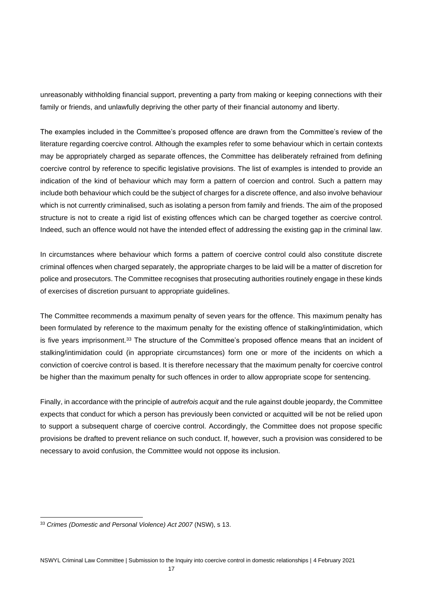unreasonably withholding financial support, preventing a party from making or keeping connections with their family or friends, and unlawfully depriving the other party of their financial autonomy and liberty.

The examples included in the Committee's proposed offence are drawn from the Committee's review of the literature regarding coercive control. Although the examples refer to some behaviour which in certain contexts may be appropriately charged as separate offences, the Committee has deliberately refrained from defining coercive control by reference to specific legislative provisions. The list of examples is intended to provide an indication of the kind of behaviour which may form a pattern of coercion and control. Such a pattern may include both behaviour which could be the subject of charges for a discrete offence, and also involve behaviour which is not currently criminalised, such as isolating a person from family and friends. The aim of the proposed structure is not to create a rigid list of existing offences which can be charged together as coercive control. Indeed, such an offence would not have the intended effect of addressing the existing gap in the criminal law.

In circumstances where behaviour which forms a pattern of coercive control could also constitute discrete criminal offences when charged separately, the appropriate charges to be laid will be a matter of discretion for police and prosecutors. The Committee recognises that prosecuting authorities routinely engage in these kinds of exercises of discretion pursuant to appropriate guidelines.

The Committee recommends a maximum penalty of seven years for the offence. This maximum penalty has been formulated by reference to the maximum penalty for the existing offence of stalking/intimidation, which is five years imprisonment.<sup>33</sup> The structure of the Committee's proposed offence means that an incident of stalking/intimidation could (in appropriate circumstances) form one or more of the incidents on which a conviction of coercive control is based. It is therefore necessary that the maximum penalty for coercive control be higher than the maximum penalty for such offences in order to allow appropriate scope for sentencing.

Finally, in accordance with the principle of *autrefois acquit* and the rule against double jeopardy, the Committee expects that conduct for which a person has previously been convicted or acquitted will be not be relied upon to support a subsequent charge of coercive control. Accordingly, the Committee does not propose specific provisions be drafted to prevent reliance on such conduct. If, however, such a provision was considered to be necessary to avoid confusion, the Committee would not oppose its inclusion.

<sup>33</sup> *Crimes (Domestic and Personal Violence) Act 2007* (NSW), s 13.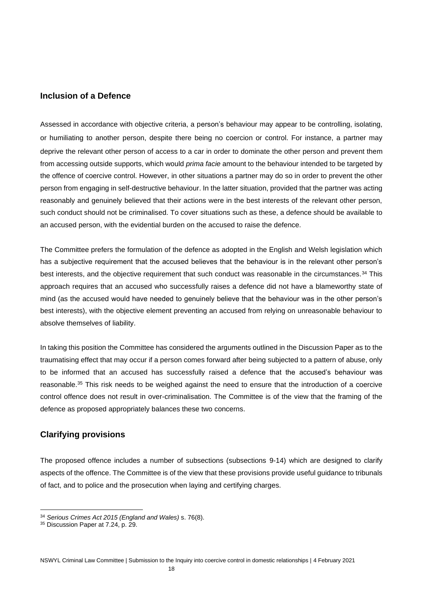#### **Inclusion of a Defence**

Assessed in accordance with objective criteria, a person's behaviour may appear to be controlling, isolating, or humiliating to another person, despite there being no coercion or control. For instance, a partner may deprive the relevant other person of access to a car in order to dominate the other person and prevent them from accessing outside supports, which would *prima facie* amount to the behaviour intended to be targeted by the offence of coercive control. However, in other situations a partner may do so in order to prevent the other person from engaging in self-destructive behaviour. In the latter situation, provided that the partner was acting reasonably and genuinely believed that their actions were in the best interests of the relevant other person, such conduct should not be criminalised. To cover situations such as these, a defence should be available to an accused person, with the evidential burden on the accused to raise the defence.

The Committee prefers the formulation of the defence as adopted in the English and Welsh legislation which has a subjective requirement that the accused believes that the behaviour is in the relevant other person's best interests, and the objective requirement that such conduct was reasonable in the circumstances.<sup>34</sup> This approach requires that an accused who successfully raises a defence did not have a blameworthy state of mind (as the accused would have needed to genuinely believe that the behaviour was in the other person's best interests), with the objective element preventing an accused from relying on unreasonable behaviour to absolve themselves of liability.

In taking this position the Committee has considered the arguments outlined in the Discussion Paper as to the traumatising effect that may occur if a person comes forward after being subjected to a pattern of abuse, only to be informed that an accused has successfully raised a defence that the accused's behaviour was reasonable.<sup>35</sup> This risk needs to be weighed against the need to ensure that the introduction of a coercive control offence does not result in over-criminalisation. The Committee is of the view that the framing of the defence as proposed appropriately balances these two concerns.

#### **Clarifying provisions**

The proposed offence includes a number of subsections (subsections 9-14) which are designed to clarify aspects of the offence. The Committee is of the view that these provisions provide useful guidance to tribunals of fact, and to police and the prosecution when laying and certifying charges.

<sup>34</sup> *Serious Crimes Act 2015 (England and Wales)* s. 76(8).

<sup>&</sup>lt;sup>35</sup> Discussion Paper at 7.24, p. 29.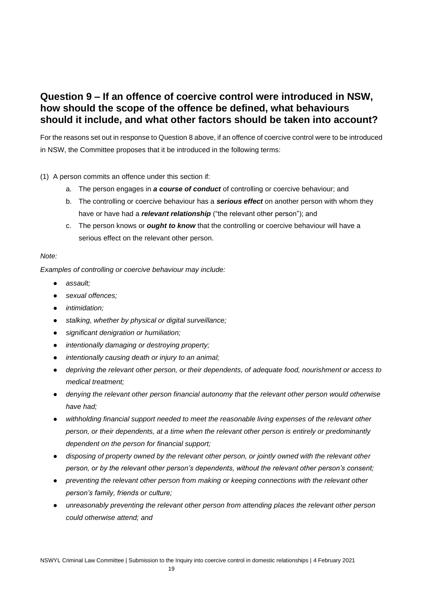## **Question 9 – If an offence of coercive control were introduced in NSW, how should the scope of the offence be defined, what behaviours should it include, and what other factors should be taken into account?**

For the reasons set out in response to Question 8 above, if an offence of coercive control were to be introduced in NSW, the Committee proposes that it be introduced in the following terms:

#### (1) A person commits an offence under this section if:

- a. The person engages in *a course of conduct* of controlling or coercive behaviour; and
- b. The controlling or coercive behaviour has a *serious effect* on another person with whom they have or have had a *relevant relationship* ("the relevant other person"); and
- c. The person knows or *ought to know* that the controlling or coercive behaviour will have a serious effect on the relevant other person.

#### *Note:*

*Examples of controlling or coercive behaviour may include:*

- *assault;*
- sexual offences;
- *intimidation;*
- *stalking, whether by physical or digital surveillance;*
- *significant denigration or humiliation;*
- *intentionally damaging or destroying property;*
- *intentionally causing death or injury to an animal;*
- *depriving the relevant other person, or their dependents, of adequate food, nourishment or access to medical treatment;*
- *denying the relevant other person financial autonomy that the relevant other person would otherwise have had;*
- *withholding financial support needed to meet the reasonable living expenses of the relevant other person, or their dependents, at a time when the relevant other person is entirely or predominantly dependent on the person for financial support;*
- *disposing of property owned by the relevant other person, or jointly owned with the relevant other person, or by the relevant other person's dependents, without the relevant other person's consent;*
- *preventing the relevant other person from making or keeping connections with the relevant other person's family, friends or culture;*
- *unreasonably preventing the relevant other person from attending places the relevant other person could otherwise attend; and*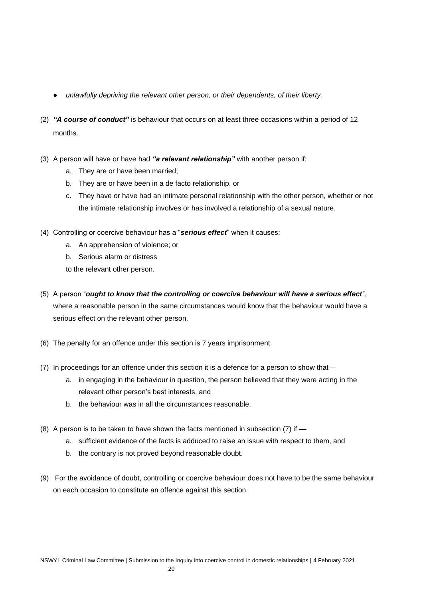- *unlawfully depriving the relevant other person, or their dependents, of their liberty.*
- (2) *"A course of conduct"* is behaviour that occurs on at least three occasions within a period of 12 months.
- (3) A person will have or have had *"a relevant relationship"* with another person if:
	- a. They are or have been married;
	- b. They are or have been in a de facto relationship, or
	- c. They have or have had an intimate personal relationship with the other person, whether or not the intimate relationship involves or has involved a relationship of a sexual nature.
- (4) Controlling or coercive behaviour has a "*serious effect*" when it causes:
	- a. An apprehension of violence; or
	- b. Serious alarm or distress

to the relevant other person.

- (5) A person "*ought to know that the controlling or coercive behaviour will have a serious effect*", where a reasonable person in the same circumstances would know that the behaviour would have a serious effect on the relevant other person.
- (6) The penalty for an offence under this section is 7 years imprisonment.
- (7) In proceedings for an offence under this section it is a defence for a person to show that
	- a. in engaging in the behaviour in question, the person believed that they were acting in the relevant other person's best interests, and
	- b. the behaviour was in all the circumstances reasonable.
- (8) A person is to be taken to have shown the facts mentioned in subsection (7) if
	- a. sufficient evidence of the facts is adduced to raise an issue with respect to them, and
	- b. the contrary is not proved beyond reasonable doubt.
- (9) For the avoidance of doubt, controlling or coercive behaviour does not have to be the same behaviour on each occasion to constitute an offence against this section.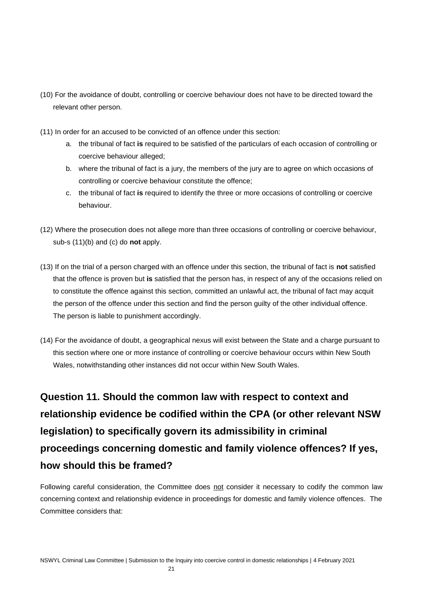- (10) For the avoidance of doubt, controlling or coercive behaviour does not have to be directed toward the relevant other person.
- (11) In order for an accused to be convicted of an offence under this section:
	- a. the tribunal of fact **is** required to be satisfied of the particulars of each occasion of controlling or coercive behaviour alleged;
	- b. where the tribunal of fact is a jury, the members of the jury are to agree on which occasions of controlling or coercive behaviour constitute the offence;
	- c. the tribunal of fact **is** required to identify the three or more occasions of controlling or coercive behaviour.
- (12) Where the prosecution does not allege more than three occasions of controlling or coercive behaviour, sub-s (11)(b) and (c) do **not** apply.
- (13) If on the trial of a person charged with an offence under this section, the tribunal of fact is **not** satisfied that the offence is proven but **is** satisfied that the person has, in respect of any of the occasions relied on to constitute the offence against this section, committed an unlawful act, the tribunal of fact may acquit the person of the offence under this section and find the person guilty of the other individual offence. The person is liable to punishment accordingly.
- (14) For the avoidance of doubt, a geographical nexus will exist between the State and a charge pursuant to this section where one or more instance of controlling or coercive behaviour occurs within New South Wales, notwithstanding other instances did not occur within New South Wales.

## **Question 11. Should the common law with respect to context and relationship evidence be codified within the CPA (or other relevant NSW legislation) to specifically govern its admissibility in criminal proceedings concerning domestic and family violence offences? If yes, how should this be framed?**

Following careful consideration, the Committee does not consider it necessary to codify the common law concerning context and relationship evidence in proceedings for domestic and family violence offences. The Committee considers that: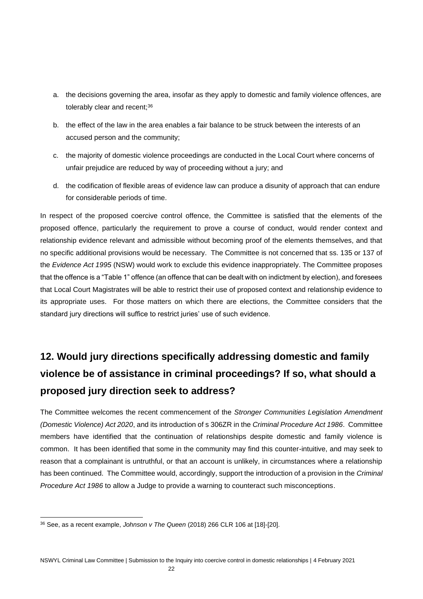- a. the decisions governing the area, insofar as they apply to domestic and family violence offences, are tolerably clear and recent;<sup>36</sup>
- b. the effect of the law in the area enables a fair balance to be struck between the interests of an accused person and the community;
- c. the majority of domestic violence proceedings are conducted in the Local Court where concerns of unfair prejudice are reduced by way of proceeding without a jury; and
- d. the codification of flexible areas of evidence law can produce a disunity of approach that can endure for considerable periods of time.

In respect of the proposed coercive control offence, the Committee is satisfied that the elements of the proposed offence, particularly the requirement to prove a course of conduct, would render context and relationship evidence relevant and admissible without becoming proof of the elements themselves, and that no specific additional provisions would be necessary. The Committee is not concerned that ss. 135 or 137 of the *Evidence Act 1995* (NSW) would work to exclude this evidence inappropriately. The Committee proposes that the offence is a "Table 1" offence (an offence that can be dealt with on indictment by election), and foresees that Local Court Magistrates will be able to restrict their use of proposed context and relationship evidence to its appropriate uses. For those matters on which there are elections, the Committee considers that the standard jury directions will suffice to restrict juries' use of such evidence.

## **12. Would jury directions specifically addressing domestic and family violence be of assistance in criminal proceedings? If so, what should a proposed jury direction seek to address?**

The Committee welcomes the recent commencement of the *Stronger Communities Legislation Amendment (Domestic Violence) Act 2020*, and its introduction of s 306ZR in the *Criminal Procedure Act 1986*. Committee members have identified that the continuation of relationships despite domestic and family violence is common. It has been identified that some in the community may find this counter-intuitive, and may seek to reason that a complainant is untruthful, or that an account is unlikely, in circumstances where a relationship has been continued. The Committee would, accordingly, support the introduction of a provision in the *Criminal Procedure Act 1986* to allow a Judge to provide a warning to counteract such misconceptions.

<sup>36</sup> See, as a recent example, *Johnson v The Queen* (2018) 266 CLR 106 at [18]-[20].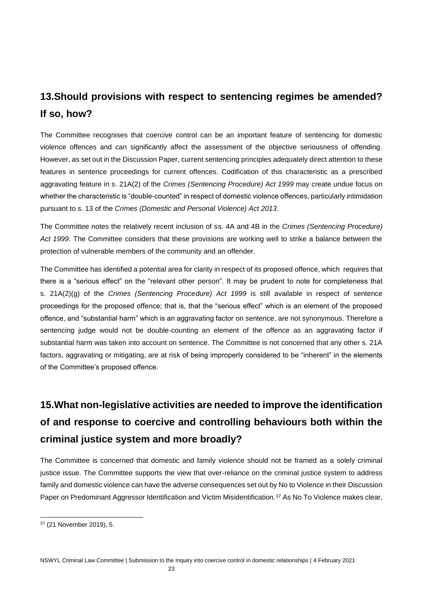## **13.Should provisions with respect to sentencing regimes be amended? If so, how?**

The Committee recognises that coercive control can be an important feature of sentencing for domestic violence offences and can significantly affect the assessment of the objective seriousness of offending. However, as set out in the Discussion Paper, current sentencing principles adequately direct attention to these features in sentence proceedings for current offences. Codification of this characteristic as a prescribed aggravating feature in s. 21A(2) of the *Crimes (Sentencing Procedure) Act 1999* may create undue focus on whether the characteristic is "double-counted" in respect of domestic violence offences, particularly intimidation pursuant to s. 13 of the *Crimes (Domestic and Personal Violence) Act 2013*.

The Committee notes the relatively recent inclusion of ss. 4A and 4B in the *Crimes (Sentencing Procedure) Act 1999*. The Committee considers that these provisions are working well to strike a balance between the protection of vulnerable members of the community and an offender.

The Committee has identified a potential area for clarity in respect of its proposed offence, which requires that there is a "serious effect" on the "relevant other person". It may be prudent to note for completeness that s. 21A(2)(g) of the *Crimes (Sentencing Procedure) Act 1999* is still available in respect of sentence proceedings for the proposed offence; that is, that the "serious effect" which is an element of the proposed offence, and "substantial harm" which is an aggravating factor on sentence, are not synonymous. Therefore a sentencing judge would not be double-counting an element of the offence as an aggravating factor if substantial harm was taken into account on sentence. The Committee is not concerned that any other s. 21A factors, aggravating or mitigating, are at risk of being improperly considered to be "inherent" in the elements of the Committee's proposed offence.

## **15.What non-legislative activities are needed to improve the identification of and response to coercive and controlling behaviours both within the criminal justice system and more broadly?**

The Committee is concerned that domestic and family violence should not be framed as a solely criminal justice issue. The Committee supports the view that over-reliance on the criminal justice system to address family and domestic violence can have the adverse consequences set out by No to Violence in their Discussion Paper on Predominant Aggressor Identification and Victim Misidentification.<sup>37</sup> As No To Violence makes clear,

<sup>37</sup> (21 November 2019), 5.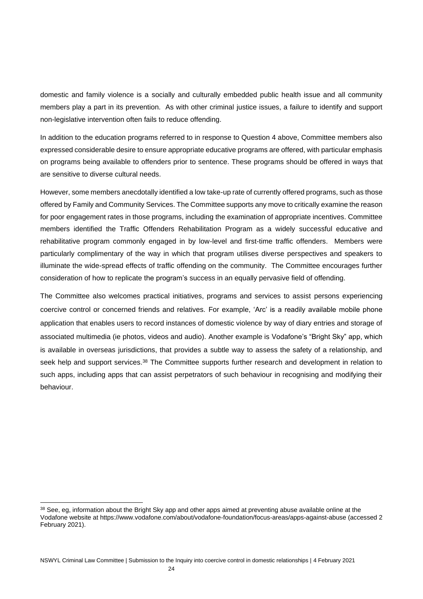domestic and family violence is a socially and culturally embedded public health issue and all community members play a part in its prevention. As with other criminal justice issues, a failure to identify and support non-legislative intervention often fails to reduce offending.

In addition to the education programs referred to in response to Question 4 above, Committee members also expressed considerable desire to ensure appropriate educative programs are offered, with particular emphasis on programs being available to offenders prior to sentence. These programs should be offered in ways that are sensitive to diverse cultural needs.

However, some members anecdotally identified a low take-up rate of currently offered programs, such as those offered by Family and Community Services. The Committee supports any move to critically examine the reason for poor engagement rates in those programs, including the examination of appropriate incentives. Committee members identified the Traffic Offenders Rehabilitation Program as a widely successful educative and rehabilitative program commonly engaged in by low-level and first-time traffic offenders. Members were particularly complimentary of the way in which that program utilises diverse perspectives and speakers to illuminate the wide-spread effects of traffic offending on the community. The Committee encourages further consideration of how to replicate the program's success in an equally pervasive field of offending.

The Committee also welcomes practical initiatives, programs and services to assist persons experiencing coercive control or concerned friends and relatives. For example, 'Arc' is a readily available mobile phone application that enables users to record instances of domestic violence by way of diary entries and storage of associated multimedia (ie photos, videos and audio). Another example is Vodafone's "Bright Sky" app, which is available in overseas jurisdictions, that provides a subtle way to assess the safety of a relationship, and seek help and support services.<sup>38</sup> The Committee supports further research and development in relation to such apps, including apps that can assist perpetrators of such behaviour in recognising and modifying their behaviour.

<sup>38</sup> See, eg, information about the Bright Sky app and other apps aimed at preventing abuse available online at the Vodafone website at https://www.vodafone.com/about/vodafone-foundation/focus-areas/apps-against-abuse (accessed 2 February 2021).